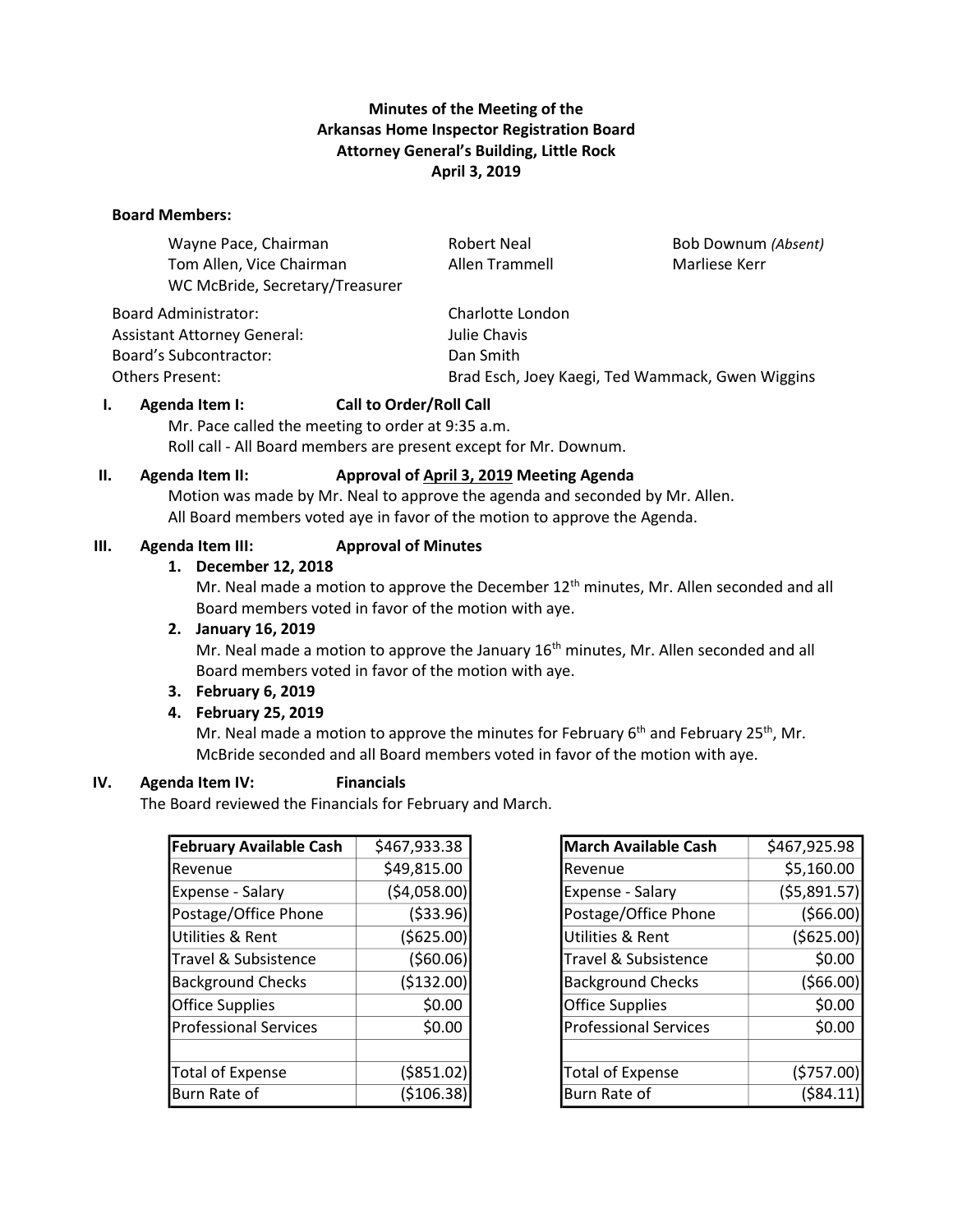# **Minutes of the Meeting of the Arkansas Home Inspector Registration Board Attorney General's Building, Little Rock April 3, 2019**

### **Board Members:**

| Wayne Pace, Chairman               | <b>Robert Neal</b> | Bob Downum (Absent) |
|------------------------------------|--------------------|---------------------|
| Tom Allen, Vice Chairman           | Allen Trammell     | Marliese Kerr       |
| WC McBride, Secretary/Treasurer    |                    |                     |
| Board Administrator:               | Charlotte London   |                     |
| <b>Assistant Attorney General:</b> | Julie Chavis       |                     |
| Board's Subcontractor:             | Dan Smith          |                     |

Others Present: Brad Esch, Joey Kaegi, Ted Wammack, Gwen Wiggins

### **I. Agenda Item I: Call to Order/Roll Call**

Mr. Pace called the meeting to order at 9:35 a.m. Roll call - All Board members are present except for Mr. Downum.

#### **II. Agenda Item II: Approval of April 3, 2019 Meeting Agenda**

Motion was made by Mr. Neal to approve the agenda and seconded by Mr. Allen. All Board members voted aye in favor of the motion to approve the Agenda.

### **III. Agenda Item III: Approval of Minutes**

#### **1. December 12, 2018**

Mr. Neal made a motion to approve the December  $12<sup>th</sup>$  minutes, Mr. Allen seconded and all Board members voted in favor of the motion with aye.

#### **2. January 16, 2019**

Mr. Neal made a motion to approve the January  $16<sup>th</sup>$  minutes, Mr. Allen seconded and all Board members voted in favor of the motion with aye.

#### **3. February 6, 2019**

#### **4. February 25, 2019**

Mr. Neal made a motion to approve the minutes for February  $6<sup>th</sup>$  and February 25<sup>th</sup>, Mr. McBride seconded and all Board members voted in favor of the motion with aye.

#### **IV. Agenda Item IV: Financials**

The Board reviewed the Financials for February and March.

| <b>February Available Cash</b> | \$467,933.38 |  |
|--------------------------------|--------------|--|
| Revenue                        | \$49,815.00  |  |
| Expense - Salary               | (\$4,058.00) |  |
| Postage/Office Phone           | ( \$33.96)   |  |
| Utilities & Rent               | ( \$625.00)  |  |
| Travel & Subsistence           | ( \$60.06)   |  |
| <b>Background Checks</b>       | (\$132.00)   |  |
| <b>Office Supplies</b>         | \$0.00       |  |
| <b>Professional Services</b>   | \$0.00       |  |
|                                |              |  |
| <b>Total of Expense</b>        | ( \$851.02)  |  |
| Burn Rate of                   | (\$106.38    |  |

| <b>March Available Cash</b>  | \$467,925.98 |  |
|------------------------------|--------------|--|
| Revenue                      | \$5,160.00   |  |
| Expense - Salary             | (55,891.57)  |  |
| Postage/Office Phone         | (566.00)     |  |
| Utilities & Rent             | ( \$625.00)  |  |
| Travel & Subsistence         | \$0.00       |  |
| <b>Background Checks</b>     | (566.00)     |  |
| <b>Office Supplies</b>       | \$0.00       |  |
| <b>Professional Services</b> | \$0.00       |  |
|                              |              |  |
| <b>Total of Expense</b>      | (5757.00)    |  |
| Burn Rate of                 | (\$84.11     |  |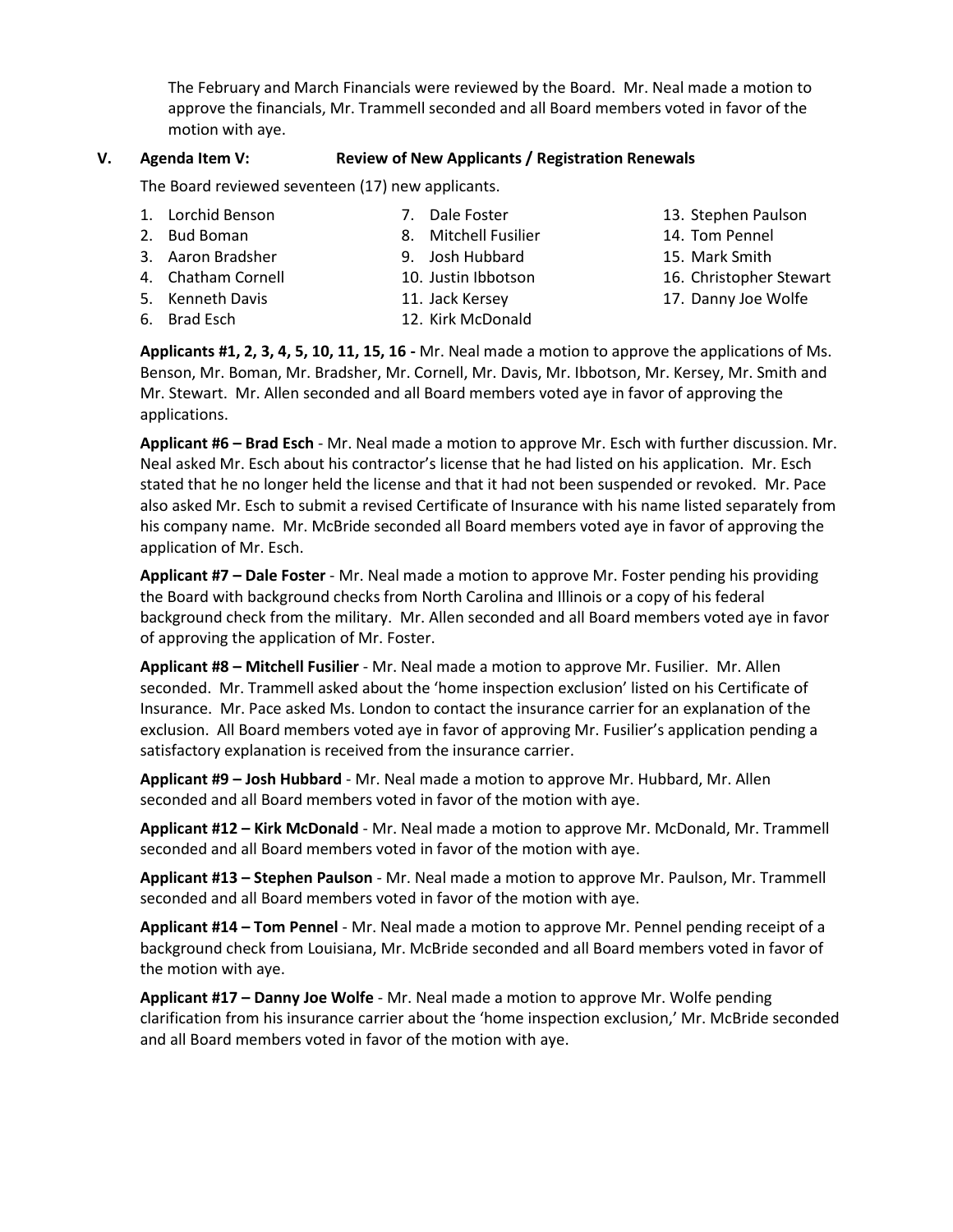The February and March Financials were reviewed by the Board. Mr. Neal made a motion to approve the financials, Mr. Trammell seconded and all Board members voted in favor of the motion with aye.

#### **V. Agenda Item V: Review of New Applicants / Registration Renewals**

The Board reviewed seventeen (17) new applicants.

- 1. Lorchid Benson
- 2. Bud Boman
- 3. Aaron Bradsher
- 4. Chatham Cornell 5. Kenneth Davis
- 9. Josh Hubbard

7. Dale Foster

- 10. Justin Ibbotson
- 11. Jack Kersey
- 
- 

13. Stephen Paulson

17. Danny Joe Wolfe

6. Brad Esch

12. Kirk McDonald

**Applicants #1, 2, 3, 4, 5, 10, 11, 15, 16 -** Mr. Neal made a motion to approve the applications of Ms. Benson, Mr. Boman, Mr. Bradsher, Mr. Cornell, Mr. Davis, Mr. Ibbotson, Mr. Kersey, Mr. Smith and Mr. Stewart. Mr. Allen seconded and all Board members voted aye in favor of approving the applications.

**Applicant #6 – Brad Esch** - Mr. Neal made a motion to approve Mr. Esch with further discussion. Mr. Neal asked Mr. Esch about his contractor's license that he had listed on his application. Mr. Esch stated that he no longer held the license and that it had not been suspended or revoked. Mr. Pace also asked Mr. Esch to submit a revised Certificate of Insurance with his name listed separately from his company name. Mr. McBride seconded all Board members voted aye in favor of approving the application of Mr. Esch.

**Applicant #7 – Dale Foster** - Mr. Neal made a motion to approve Mr. Foster pending his providing the Board with background checks from North Carolina and Illinois or a copy of his federal background check from the military. Mr. Allen seconded and all Board members voted aye in favor of approving the application of Mr. Foster.

**Applicant #8 – Mitchell Fusilier** - Mr. Neal made a motion to approve Mr. Fusilier. Mr. Allen seconded. Mr. Trammell asked about the 'home inspection exclusion' listed on his Certificate of Insurance. Mr. Pace asked Ms. London to contact the insurance carrier for an explanation of the exclusion. All Board members voted aye in favor of approving Mr. Fusilier's application pending a satisfactory explanation is received from the insurance carrier.

**Applicant #9 – Josh Hubbard** - Mr. Neal made a motion to approve Mr. Hubbard, Mr. Allen seconded and all Board members voted in favor of the motion with aye.

**Applicant #12 – Kirk McDonald** - Mr. Neal made a motion to approve Mr. McDonald, Mr. Trammell seconded and all Board members voted in favor of the motion with aye.

**Applicant #13 – Stephen Paulson** - Mr. Neal made a motion to approve Mr. Paulson, Mr. Trammell seconded and all Board members voted in favor of the motion with aye.

**Applicant #14 – Tom Pennel** - Mr. Neal made a motion to approve Mr. Pennel pending receipt of a background check from Louisiana, Mr. McBride seconded and all Board members voted in favor of the motion with aye.

**Applicant #17 – Danny Joe Wolfe** - Mr. Neal made a motion to approve Mr. Wolfe pending clarification from his insurance carrier about the 'home inspection exclusion,' Mr. McBride seconded and all Board members voted in favor of the motion with aye.

- 8. Mitchell Fusilier 14. Tom Pennel
	- 15. Mark Smith
	- 16. Christopher Stewart
	-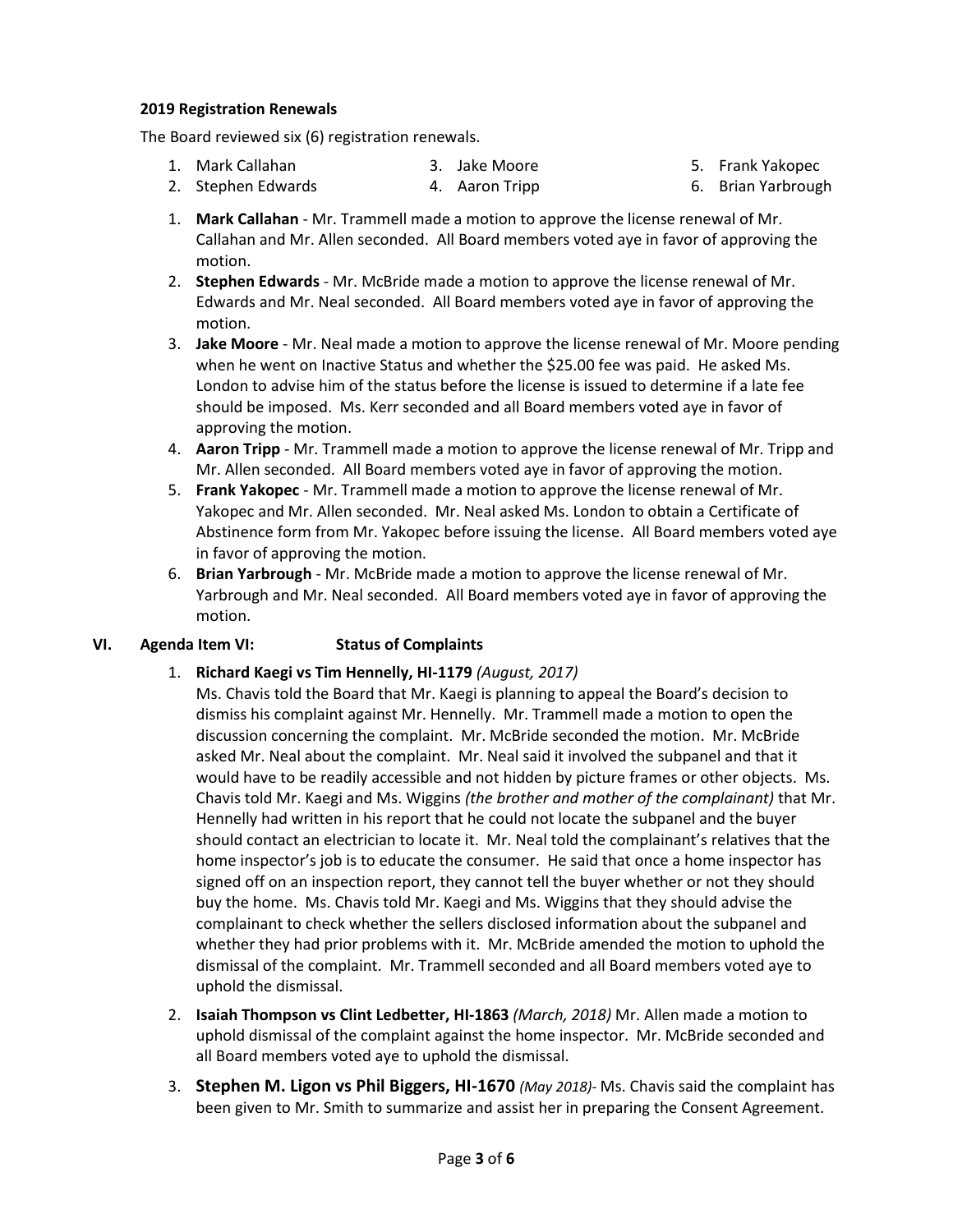### **2019 Registration Renewals**

The Board reviewed six (6) registration renewals.

1. Mark Callahan 3. Jake Moore 5. Frank Yakopec

- 2. Stephen Edwards 4. Aaron Tripp
- 6. Brian Yarbrough 1. **Mark Callahan** - Mr. Trammell made a motion to approve the license renewal of Mr. Callahan and Mr. Allen seconded. All Board members voted aye in favor of approving the
- motion. 2. **Stephen Edwards** - Mr. McBride made a motion to approve the license renewal of Mr.
- Edwards and Mr. Neal seconded. All Board members voted aye in favor of approving the motion.
- 3. **Jake Moore** Mr. Neal made a motion to approve the license renewal of Mr. Moore pending when he went on Inactive Status and whether the \$25.00 fee was paid. He asked Ms. London to advise him of the status before the license is issued to determine if a late fee should be imposed. Ms. Kerr seconded and all Board members voted aye in favor of approving the motion.
- 4. **Aaron Tripp** Mr. Trammell made a motion to approve the license renewal of Mr. Tripp and Mr. Allen seconded. All Board members voted aye in favor of approving the motion.
- 5. **Frank Yakopec** Mr. Trammell made a motion to approve the license renewal of Mr. Yakopec and Mr. Allen seconded. Mr. Neal asked Ms. London to obtain a Certificate of Abstinence form from Mr. Yakopec before issuing the license. All Board members voted aye in favor of approving the motion.
- 6. **Brian Yarbrough** Mr. McBride made a motion to approve the license renewal of Mr. Yarbrough and Mr. Neal seconded. All Board members voted aye in favor of approving the motion.

# **VI. Agenda Item VI: Status of Complaints**

- 1. **Richard Kaegi vs Tim Hennelly, HI-1179** *(August, 2017)*
	- Ms. Chavis told the Board that Mr. Kaegi is planning to appeal the Board's decision to dismiss his complaint against Mr. Hennelly. Mr. Trammell made a motion to open the discussion concerning the complaint. Mr. McBride seconded the motion. Mr. McBride asked Mr. Neal about the complaint. Mr. Neal said it involved the subpanel and that it would have to be readily accessible and not hidden by picture frames or other objects. Ms. Chavis told Mr. Kaegi and Ms. Wiggins *(the brother and mother of the complainant)* that Mr. Hennelly had written in his report that he could not locate the subpanel and the buyer should contact an electrician to locate it. Mr. Neal told the complainant's relatives that the home inspector's job is to educate the consumer. He said that once a home inspector has signed off on an inspection report, they cannot tell the buyer whether or not they should buy the home. Ms. Chavis told Mr. Kaegi and Ms. Wiggins that they should advise the complainant to check whether the sellers disclosed information about the subpanel and whether they had prior problems with it. Mr. McBride amended the motion to uphold the dismissal of the complaint. Mr. Trammell seconded and all Board members voted aye to uphold the dismissal.
- 2. **Isaiah Thompson vs Clint Ledbetter, HI-1863** *(March, 2018)* Mr. Allen made a motion to uphold dismissal of the complaint against the home inspector. Mr. McBride seconded and all Board members voted aye to uphold the dismissal.
- 3. **Stephen M. Ligon vs Phil Biggers, HI-1670** *(May 2018)-* Ms. Chavis said the complaint has been given to Mr. Smith to summarize and assist her in preparing the Consent Agreement.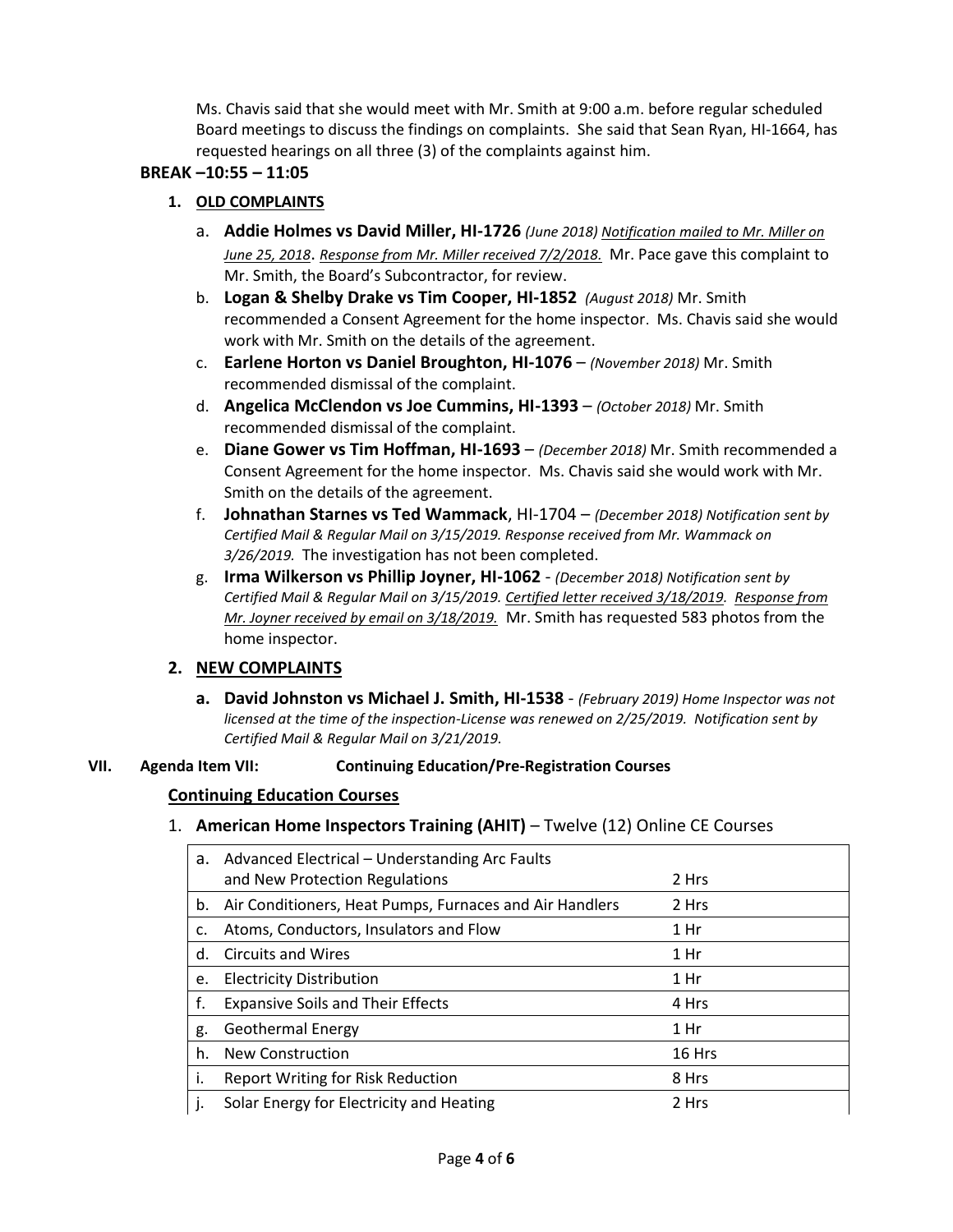Ms. Chavis said that she would meet with Mr. Smith at 9:00 a.m. before regular scheduled Board meetings to discuss the findings on complaints. She said that Sean Ryan, HI-1664, has requested hearings on all three (3) of the complaints against him.

## **BREAK –10:55 – 11:05**

# **1. OLD COMPLAINTS**

- a. **Addie Holmes vs David Miller, HI-1726** *(June 2018) Notification mailed to Mr. Miller on June 25, 2018*. *Response from Mr. Miller received 7/2/2018.* Mr. Pace gave this complaint to Mr. Smith, the Board's Subcontractor, for review.
- b. **Logan & Shelby Drake vs Tim Cooper, HI-1852** *(August 2018)* Mr. Smith recommended a Consent Agreement for the home inspector. Ms. Chavis said she would work with Mr. Smith on the details of the agreement.
- c. **Earlene Horton vs Daniel Broughton, HI-1076**  *(November 2018)* Mr. Smith recommended dismissal of the complaint.
- d. **Angelica McClendon vs Joe Cummins, HI-1393** *(October 2018)* Mr. Smith recommended dismissal of the complaint.
- e. **Diane Gower vs Tim Hoffman, HI-1693**  *(December 2018)* Mr. Smith recommended a Consent Agreement for the home inspector. Ms. Chavis said she would work with Mr. Smith on the details of the agreement.
- f. **Johnathan Starnes vs Ted Wammack**, HI-1704 *(December 2018) Notification sent by Certified Mail & Regular Mail on 3/15/2019. Response received from Mr. Wammack on 3/26/2019.* The investigation has not been completed.
- g. **Irma Wilkerson vs Phillip Joyner, HI-1062** *(December 2018) Notification sent by Certified Mail & Regular Mail on 3/15/2019. Certified letter received 3/18/2019. Response from Mr. Joyner received by email on 3/18/2019.* Mr. Smith has requested 583 photos from the home inspector.

# **2. NEW COMPLAINTS**

**a. David Johnston vs Michael J. Smith, HI-1538** - *(February 2019) Home Inspector was not licensed at the time of the inspection-License was renewed on 2/25/2019. Notification sent by Certified Mail & Regular Mail on 3/21/2019.*

### **VII. Agenda Item VII: Continuing Education/Pre-Registration Courses**

### **Continuing Education Courses**

# 1. **American Home Inspectors Training (AHIT)** – Twelve (12) Online CE Courses

| а.           | Advanced Electrical – Understanding Arc Faults          |        |
|--------------|---------------------------------------------------------|--------|
|              | and New Protection Regulations                          | 2 Hrs  |
| b.           | Air Conditioners, Heat Pumps, Furnaces and Air Handlers | 2 Hrs  |
| c.           | Atoms, Conductors, Insulators and Flow                  | 1 Hr   |
| d.           | <b>Circuits and Wires</b>                               | 1 Hr   |
| е.           | <b>Electricity Distribution</b>                         | 1 Hr   |
| f.           | <b>Expansive Soils and Their Effects</b>                | 4 Hrs  |
| g.           | <b>Geothermal Energy</b>                                | 1 Hr   |
| h.           | New Construction                                        | 16 Hrs |
| Ι.           | <b>Report Writing for Risk Reduction</b>                | 8 Hrs  |
| $\mathbf{I}$ | Solar Energy for Electricity and Heating                | 2 Hrs  |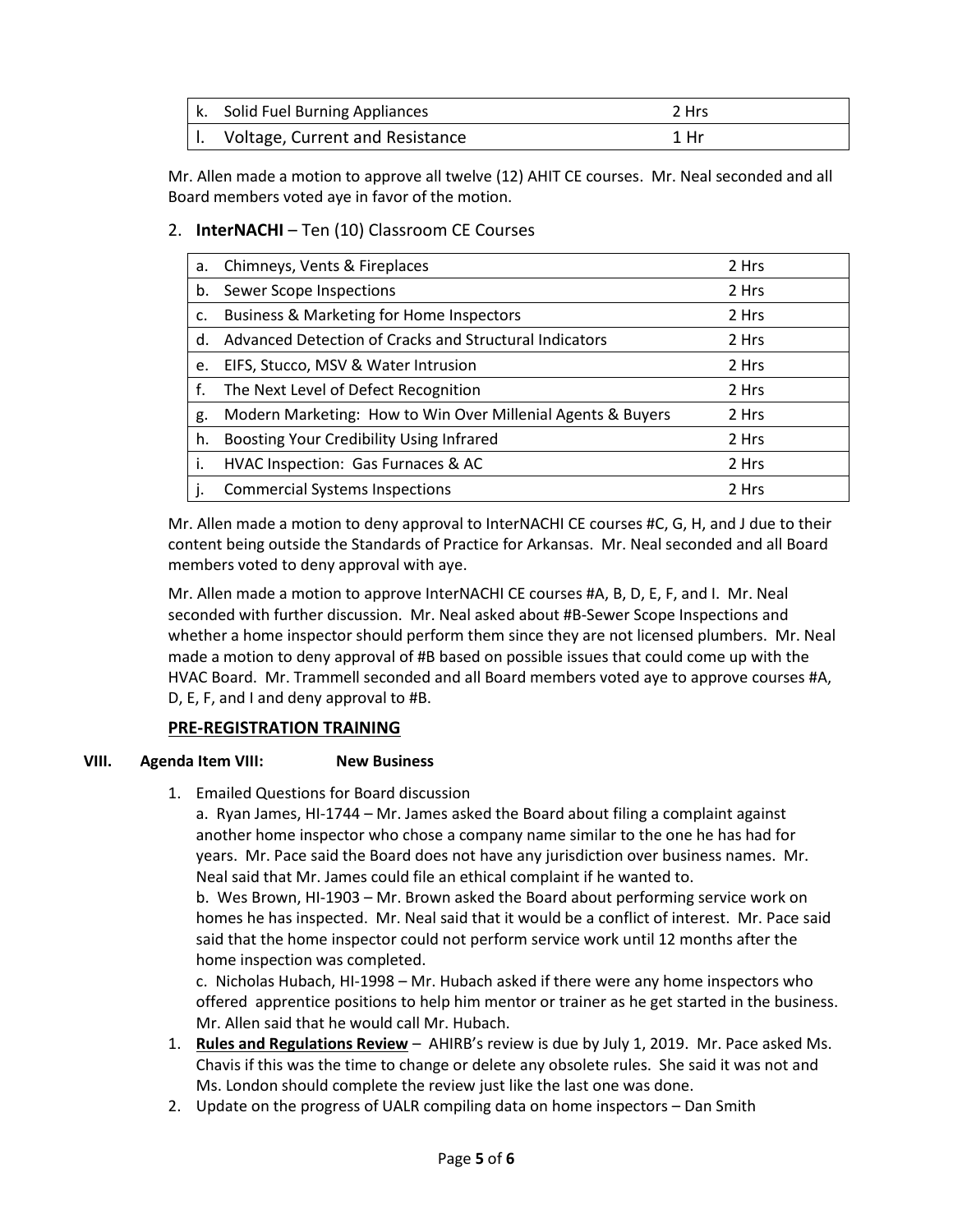| k. Solid Fuel Burning Appliances | 2 Hrs |
|----------------------------------|-------|
| Voltage, Current and Resistance  | 1 Hr  |

Mr. Allen made a motion to approve all twelve (12) AHIT CE courses. Mr. Neal seconded and all Board members voted aye in favor of the motion.

# 2. **InterNACHI** – Ten (10) Classroom CE Courses

| a. | Chimneys, Vents & Fireplaces                                | 2 Hrs |
|----|-------------------------------------------------------------|-------|
| b. | Sewer Scope Inspections                                     | 2 Hrs |
| c. | <b>Business &amp; Marketing for Home Inspectors</b>         | 2 Hrs |
| d. | Advanced Detection of Cracks and Structural Indicators      | 2 Hrs |
| e. | EIFS, Stucco, MSV & Water Intrusion                         | 2 Hrs |
| f. | The Next Level of Defect Recognition                        | 2 Hrs |
| g. | Modern Marketing: How to Win Over Millenial Agents & Buyers | 2 Hrs |
| h. | Boosting Your Credibility Using Infrared                    | 2 Hrs |
| i. | HVAC Inspection: Gas Furnaces & AC                          | 2 Hrs |
|    | <b>Commercial Systems Inspections</b>                       | 2 Hrs |

Mr. Allen made a motion to deny approval to InterNACHI CE courses #C, G, H, and J due to their content being outside the Standards of Practice for Arkansas. Mr. Neal seconded and all Board members voted to deny approval with aye.

Mr. Allen made a motion to approve InterNACHI CE courses #A, B, D, E, F, and I. Mr. Neal seconded with further discussion. Mr. Neal asked about #B-Sewer Scope Inspections and whether a home inspector should perform them since they are not licensed plumbers. Mr. Neal made a motion to deny approval of #B based on possible issues that could come up with the HVAC Board. Mr. Trammell seconded and all Board members voted aye to approve courses #A, D, E, F, and I and deny approval to #B.

# **PRE-REGISTRATION TRAINING**

### **VIII. Agenda Item VIII: New Business**

1. Emailed Questions for Board discussion

a. Ryan James, HI-1744 – Mr. James asked the Board about filing a complaint against another home inspector who chose a company name similar to the one he has had for years. Mr. Pace said the Board does not have any jurisdiction over business names. Mr. Neal said that Mr. James could file an ethical complaint if he wanted to.

b. Wes Brown, HI-1903 – Mr. Brown asked the Board about performing service work on homes he has inspected. Mr. Neal said that it would be a conflict of interest. Mr. Pace said said that the home inspector could not perform service work until 12 months after the home inspection was completed.

c. Nicholas Hubach, HI-1998 – Mr. Hubach asked if there were any home inspectors who offered apprentice positions to help him mentor or trainer as he get started in the business. Mr. Allen said that he would call Mr. Hubach.

- 1. **Rules and Regulations Review** AHIRB's review is due by July 1, 2019. Mr. Pace asked Ms. Chavis if this was the time to change or delete any obsolete rules. She said it was not and Ms. London should complete the review just like the last one was done.
- 2. Update on the progress of UALR compiling data on home inspectors Dan Smith